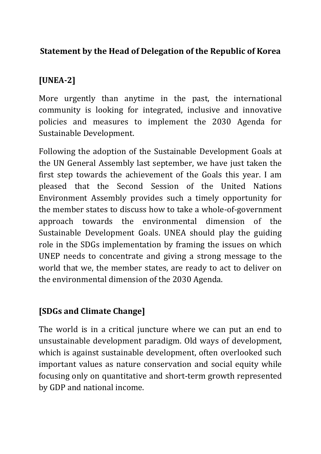### **Statement by the Head of Delegation of the Republic of Korea**

### **[UNEA-2]**

More urgently than anytime in the past, the international community is looking for integrated, inclusive and innovative policies and measures to implement the 2030 Agenda for Sustainable Development.

Following the adoption of the Sustainable Development Goals at the UN General Assembly last september, we have just taken the first step towards the achievement of the Goals this year. I am pleased that the Second Session of the United Nations Environment Assembly provides such a timely opportunity for the member states to discuss how to take a whole-of-government approach towards the environmental dimension of the Sustainable Development Goals. UNEA should play the guiding role in the SDGs implementation by framing the issues on which UNEP needs to concentrate and giving a strong message to the world that we, the member states, are ready to act to deliver on the environmental dimension of the 2030 Agenda.

#### **[SDGs and Climate Change]**

The world is in a critical juncture where we can put an end to unsustainable development paradigm. Old ways of development, which is against sustainable development, often overlooked such important values as nature conservation and social equity while focusing only on quantitative and short-term growth represented by GDP and national income.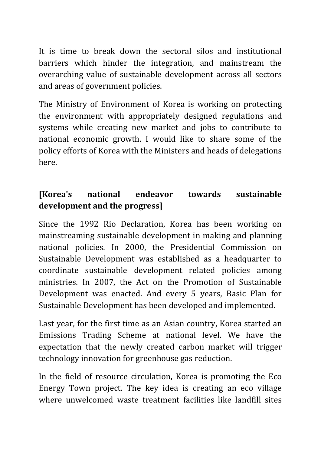It is time to break down the sectoral silos and institutional barriers which hinder the integration, and mainstream the overarching value of sustainable development across all sectors and areas of government policies.

The Ministry of Environment of Korea is working on protecting the environment with appropriately designed regulations and systems while creating new market and jobs to contribute to national economic growth. I would like to share some of the policy efforts of Korea with the Ministers and heads of delegations here.

## **[Korea's national endeavor towards sustainable development and the progress]**

Since the 1992 Rio Declaration, Korea has been working on mainstreaming sustainable development in making and planning national policies. In 2000, the Presidential Commission on Sustainable Development was established as a headquarter to coordinate sustainable development related policies among ministries. In 2007, the Act on the Promotion of Sustainable Development was enacted. And every 5 years, Basic Plan for Sustainable Development has been developed and implemented.

Last year, for the first time as an Asian country, Korea started an Emissions Trading Scheme at national level. We have the expectation that the newly created carbon market will trigger technology innovation for greenhouse gas reduction.

In the field of resource circulation, Korea is promoting the Eco Energy Town project. The key idea is creating an eco village where unwelcomed waste treatment facilities like landfill sites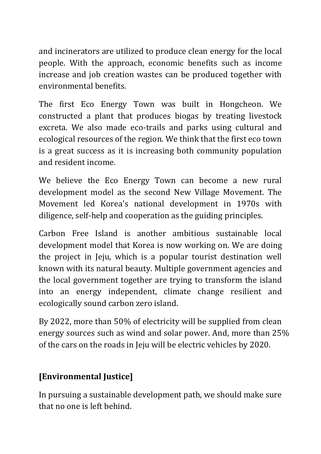and incinerators are utilized to produce clean energy for the local people. With the approach, economic benefits such as income increase and job creation wastes can be produced together with environmental benefits.

The first Eco Energy Town was built in Hongcheon. We constructed a plant that produces biogas by treating livestock excreta. We also made eco-trails and parks using cultural and ecological resources of the region. We think that the first eco town is a great success as it is increasing both community population and resident income.

We believe the Eco Energy Town can become a new rural development model as the second New Village Movement. The Movement led Korea's national development in 1970s with diligence, self-help and cooperation as the guiding principles.

Carbon Free Island is another ambitious sustainable local development model that Korea is now working on. We are doing the project in Jeju, which is a popular tourist destination well known with its natural beauty. Multiple government agencies and the local government together are trying to transform the island into an energy independent, climate change resilient and ecologically sound carbon zero island.

By 2022, more than 50% of electricity will be supplied from clean energy sources such as wind and solar power. And, more than 25% of the cars on the roads in Jeju will be electric vehicles by 2020.

## **[Environmental Justice]**

In pursuing a sustainable development path, we should make sure that no one is left behind.